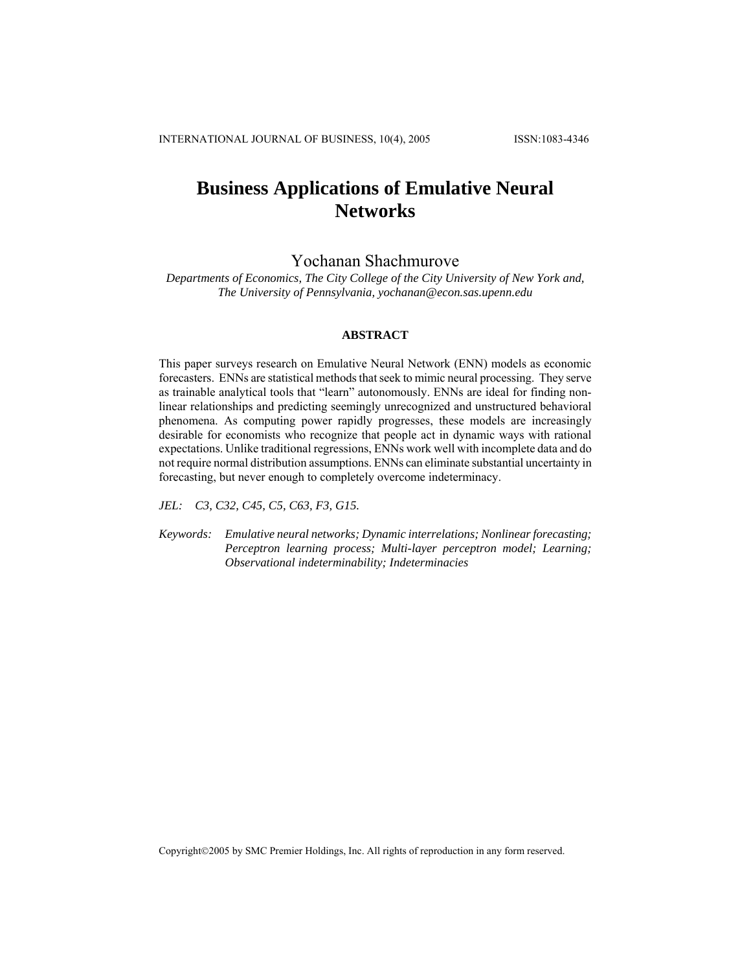# **Business Applications of Emulative Neural Networks**

# Yochanan Shachmurove

*Departments of Economics, The City College of the City University of New York and, The University of Pennsylvania, yochanan@econ.sas.upenn.edu*

## **ABSTRACT**

This paper surveys research on Emulative Neural Network (ENN) models as economic forecasters. ENNs are statistical methods that seek to mimic neural processing. They serve as trainable analytical tools that "learn" autonomously. ENNs are ideal for finding nonlinear relationships and predicting seemingly unrecognized and unstructured behavioral phenomena. As computing power rapidly progresses, these models are increasingly desirable for economists who recognize that people act in dynamic ways with rational expectations. Unlike traditional regressions, ENNs work well with incomplete data and do not require normal distribution assumptions. ENNs can eliminate substantial uncertainty in forecasting, but never enough to completely overcome indeterminacy.

*JEL: C3, C32, C45, C5, C63, F3, G15.* 

*Keywords: Emulative neural networks; Dynamic interrelations; Nonlinear forecasting; Perceptron learning process; Multi-layer perceptron model; Learning; Observational indeterminability; Indeterminacies* 

Copyright©2005 by SMC Premier Holdings, Inc. All rights of reproduction in any form reserved.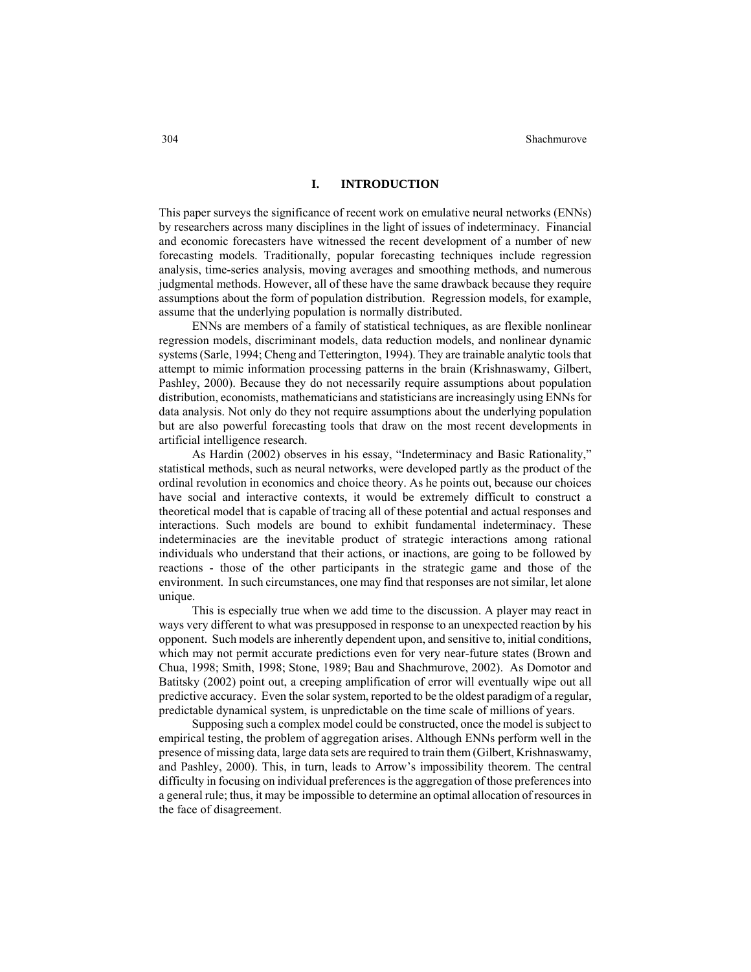### **I. INTRODUCTION**

This paper surveys the significance of recent work on emulative neural networks (ENNs) by researchers across many disciplines in the light of issues of indeterminacy. Financial and economic forecasters have witnessed the recent development of a number of new forecasting models. Traditionally, popular forecasting techniques include regression analysis, time-series analysis, moving averages and smoothing methods, and numerous judgmental methods. However, all of these have the same drawback because they require assumptions about the form of population distribution. Regression models, for example, assume that the underlying population is normally distributed.

ENNs are members of a family of statistical techniques, as are flexible nonlinear regression models, discriminant models, data reduction models, and nonlinear dynamic systems (Sarle, 1994; Cheng and Tetterington, 1994). They are trainable analytic tools that attempt to mimic information processing patterns in the brain (Krishnaswamy, Gilbert, Pashley, 2000). Because they do not necessarily require assumptions about population distribution, economists, mathematicians and statisticians are increasingly using ENNs for data analysis. Not only do they not require assumptions about the underlying population but are also powerful forecasting tools that draw on the most recent developments in artificial intelligence research.

As Hardin (2002) observes in his essay, "Indeterminacy and Basic Rationality," statistical methods, such as neural networks, were developed partly as the product of the ordinal revolution in economics and choice theory. As he points out, because our choices have social and interactive contexts, it would be extremely difficult to construct a theoretical model that is capable of tracing all of these potential and actual responses and interactions. Such models are bound to exhibit fundamental indeterminacy. These indeterminacies are the inevitable product of strategic interactions among rational individuals who understand that their actions, or inactions, are going to be followed by reactions - those of the other participants in the strategic game and those of the environment. In such circumstances, one may find that responses are not similar, let alone unique.

This is especially true when we add time to the discussion. A player may react in ways very different to what was presupposed in response to an unexpected reaction by his opponent. Such models are inherently dependent upon, and sensitive to, initial conditions, which may not permit accurate predictions even for very near-future states (Brown and Chua, 1998; Smith, 1998; Stone, 1989; Bau and Shachmurove, 2002). As Domotor and Batitsky (2002) point out, a creeping amplification of error will eventually wipe out all predictive accuracy. Even the solar system, reported to be the oldest paradigm of a regular, predictable dynamical system, is unpredictable on the time scale of millions of years.

Supposing such a complex model could be constructed, once the model is subject to empirical testing, the problem of aggregation arises. Although ENNs perform well in the presence of missing data, large data sets are required to train them (Gilbert, Krishnaswamy, and Pashley, 2000). This, in turn, leads to Arrow's impossibility theorem. The central difficulty in focusing on individual preferences is the aggregation of those preferences into a general rule; thus, it may be impossible to determine an optimal allocation of resources in the face of disagreement.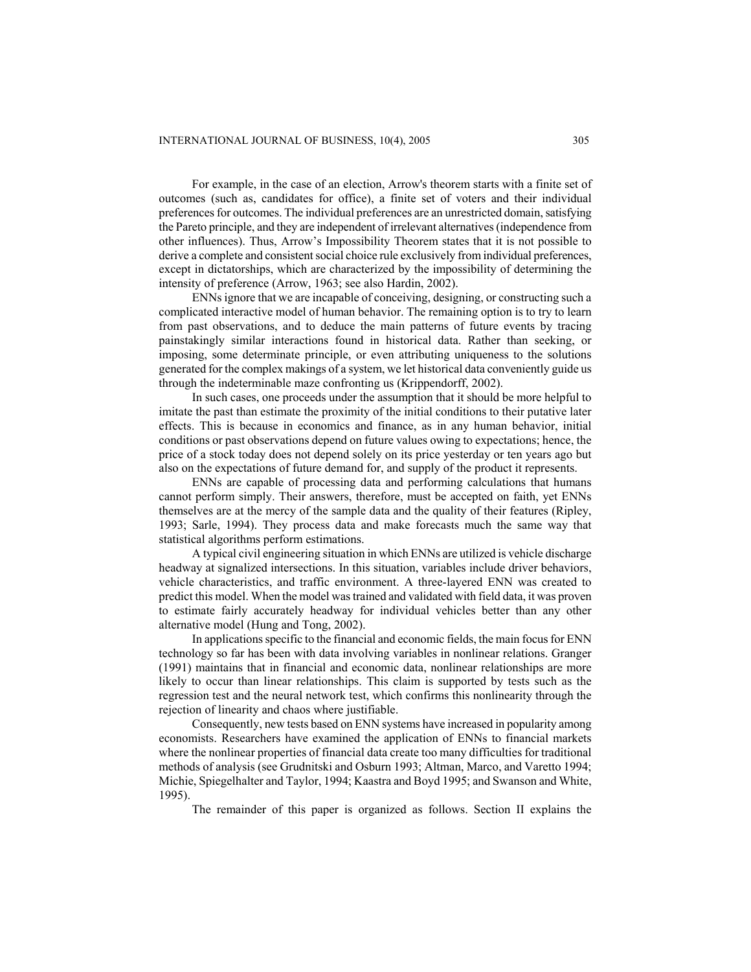For example, in the case of an election, Arrow's theorem starts with a finite set of outcomes (such as, candidates for office), a finite set of voters and their individual preferences for outcomes. The individual preferences are an unrestricted domain, satisfying the Pareto principle, and they are independent of irrelevant alternatives (independence from other influences). Thus, Arrow's Impossibility Theorem states that it is not possible to derive a complete and consistent social choice rule exclusively from individual preferences, except in dictatorships, which are characterized by the impossibility of determining the intensity of preference (Arrow, 1963; see also Hardin, 2002).

ENNs ignore that we are incapable of conceiving, designing, or constructing such a complicated interactive model of human behavior. The remaining option is to try to learn from past observations, and to deduce the main patterns of future events by tracing painstakingly similar interactions found in historical data. Rather than seeking, or imposing, some determinate principle, or even attributing uniqueness to the solutions generated for the complex makings of a system, we let historical data conveniently guide us through the indeterminable maze confronting us (Krippendorff, 2002).

In such cases, one proceeds under the assumption that it should be more helpful to imitate the past than estimate the proximity of the initial conditions to their putative later effects. This is because in economics and finance, as in any human behavior, initial conditions or past observations depend on future values owing to expectations; hence, the price of a stock today does not depend solely on its price yesterday or ten years ago but also on the expectations of future demand for, and supply of the product it represents.

ENNs are capable of processing data and performing calculations that humans cannot perform simply. Their answers, therefore, must be accepted on faith, yet ENNs themselves are at the mercy of the sample data and the quality of their features (Ripley, 1993; Sarle, 1994). They process data and make forecasts much the same way that statistical algorithms perform estimations.

A typical civil engineering situation in which ENNs are utilized is vehicle discharge headway at signalized intersections. In this situation, variables include driver behaviors, vehicle characteristics, and traffic environment. A three-layered ENN was created to predict this model. When the model was trained and validated with field data, it was proven to estimate fairly accurately headway for individual vehicles better than any other alternative model (Hung and Tong, 2002).

In applications specific to the financial and economic fields, the main focus for ENN technology so far has been with data involving variables in nonlinear relations. Granger (1991) maintains that in financial and economic data, nonlinear relationships are more likely to occur than linear relationships. This claim is supported by tests such as the regression test and the neural network test, which confirms this nonlinearity through the rejection of linearity and chaos where justifiable.

Consequently, new tests based on ENN systems have increased in popularity among economists. Researchers have examined the application of ENNs to financial markets where the nonlinear properties of financial data create too many difficulties for traditional methods of analysis (see Grudnitski and Osburn 1993; Altman, Marco, and Varetto 1994; Michie, Spiegelhalter and Taylor, 1994; Kaastra and Boyd 1995; and Swanson and White, 1995).

The remainder of this paper is organized as follows. Section II explains the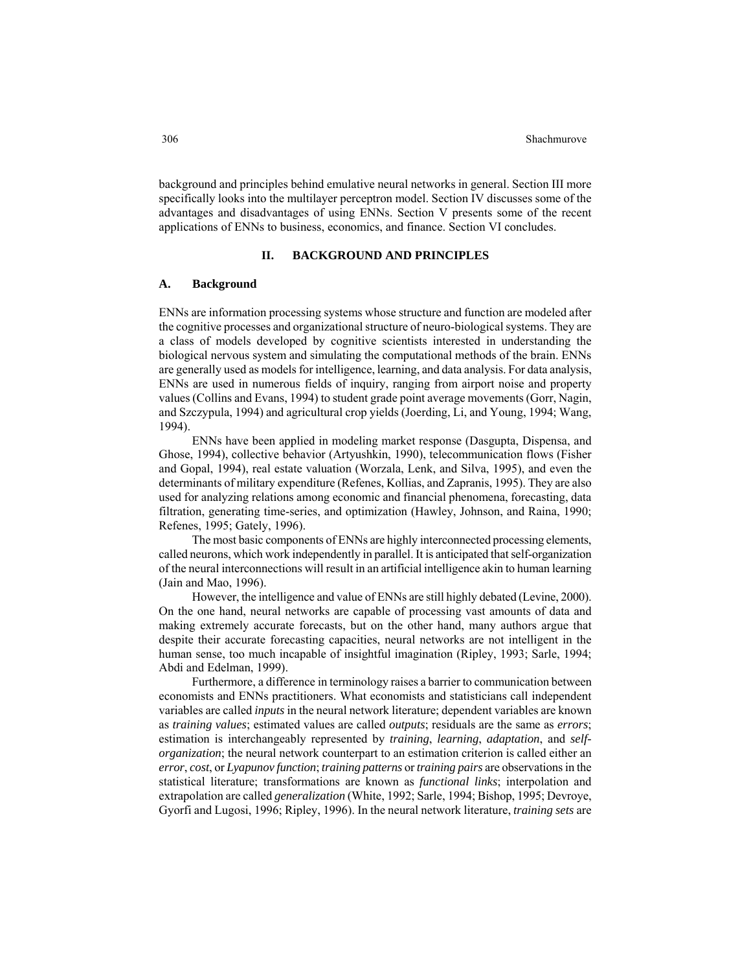background and principles behind emulative neural networks in general. Section III more specifically looks into the multilayer perceptron model. Section IV discusses some of the advantages and disadvantages of using ENNs. Section V presents some of the recent applications of ENNs to business, economics, and finance. Section VI concludes.

### **II. BACKGROUND AND PRINCIPLES**

### **A. Background**

ENNs are information processing systems whose structure and function are modeled after the cognitive processes and organizational structure of neuro-biological systems. They are a class of models developed by cognitive scientists interested in understanding the biological nervous system and simulating the computational methods of the brain. ENNs are generally used as models for intelligence, learning, and data analysis. For data analysis, ENNs are used in numerous fields of inquiry, ranging from airport noise and property values (Collins and Evans, 1994) to student grade point average movements (Gorr, Nagin, and Szczypula, 1994) and agricultural crop yields (Joerding, Li, and Young, 1994; Wang, 1994).

ENNs have been applied in modeling market response (Dasgupta, Dispensa, and Ghose, 1994), collective behavior (Artyushkin, 1990), telecommunication flows (Fisher and Gopal, 1994), real estate valuation (Worzala, Lenk, and Silva, 1995), and even the determinants of military expenditure (Refenes, Kollias, and Zapranis, 1995). They are also used for analyzing relations among economic and financial phenomena, forecasting, data filtration, generating time-series, and optimization (Hawley, Johnson, and Raina, 1990; Refenes, 1995; Gately, 1996).

The most basic components of ENNs are highly interconnected processing elements, called neurons, which work independently in parallel. It is anticipated that self-organization of the neural interconnections will result in an artificial intelligence akin to human learning (Jain and Mao, 1996).

However, the intelligence and value of ENNs are still highly debated (Levine, 2000). On the one hand, neural networks are capable of processing vast amounts of data and making extremely accurate forecasts, but on the other hand, many authors argue that despite their accurate forecasting capacities, neural networks are not intelligent in the human sense, too much incapable of insightful imagination (Ripley, 1993; Sarle, 1994; Abdi and Edelman, 1999).

Furthermore, a difference in terminology raises a barrier to communication between economists and ENNs practitioners. What economists and statisticians call independent variables are called *inputs* in the neural network literature; dependent variables are known as *training values*; estimated values are called *outputs*; residuals are the same as *errors*; estimation is interchangeably represented by *training*, *learning*, *adaptation*, and *selforganization*; the neural network counterpart to an estimation criterion is called either an *error*, *cost*, or *Lyapunov function*; *training patterns* or *training pairs* are observations in the statistical literature; transformations are known as *functional links*; interpolation and extrapolation are called *generalization* (White, 1992; Sarle, 1994; Bishop, 1995; Devroye, Gyorfi and Lugosi, 1996; Ripley, 1996). In the neural network literature, *training sets* are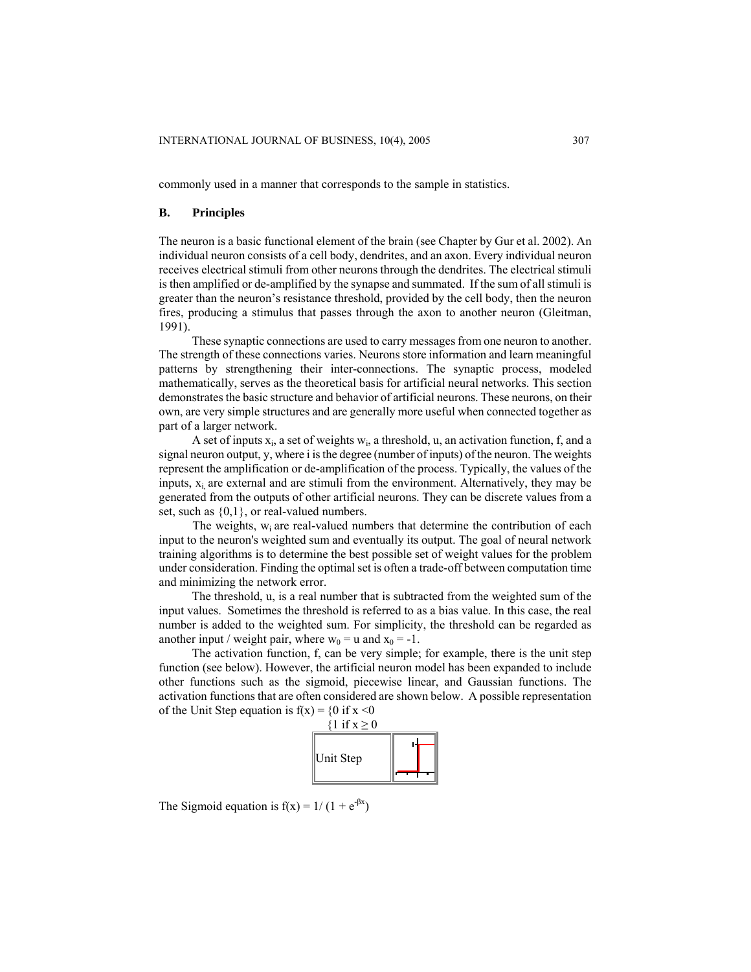commonly used in a manner that corresponds to the sample in statistics.

### **B. Principles**

The neuron is a basic functional element of the brain (see Chapter by Gur et al. 2002). An individual neuron consists of a cell body, dendrites, and an axon. Every individual neuron receives electrical stimuli from other neurons through the dendrites. The electrical stimuli is then amplified or de-amplified by the synapse and summated. If the sum of all stimuli is greater than the neuron's resistance threshold, provided by the cell body, then the neuron fires, producing a stimulus that passes through the axon to another neuron (Gleitman, 1991).

These synaptic connections are used to carry messages from one neuron to another. The strength of these connections varies. Neurons store information and learn meaningful patterns by strengthening their inter-connections. The synaptic process, modeled mathematically, serves as the theoretical basis for artificial neural networks. This section demonstrates the basic structure and behavior of artificial neurons. These neurons, on their own, are very simple structures and are generally more useful when connected together as part of a larger network.

A set of inputs  $x_i$ , a set of weights  $w_i$ , a threshold, u, an activation function, f, and a signal neuron output, y, where i is the degree (number of inputs) of the neuron. The weights represent the amplification or de-amplification of the process. Typically, the values of the inputs,  $x_i$  are external and are stimuli from the environment. Alternatively, they may be generated from the outputs of other artificial neurons. They can be discrete values from a set, such as  $\{0,1\}$ , or real-valued numbers.

The weights,  $w_i$  are real-valued numbers that determine the contribution of each input to the neuron's weighted sum and eventually its output. The goal of neural network training algorithms is to determine the best possible set of weight values for the problem under consideration. Finding the optimal set is often a trade-off between computation time and minimizing the network error.

The threshold, u, is a real number that is subtracted from the weighted sum of the input values. Sometimes the threshold is referred to as a bias value. In this case, the real number is added to the weighted sum. For simplicity, the threshold can be regarded as another input / weight pair, where  $w_0 = u$  and  $x_0 = -1$ .

The activation function, f, can be very simple; for example, there is the unit step function (see below). However, the artificial neuron model has been expanded to include other functions such as the sigmoid, piecewise linear, and Gaussian functions. The activation functions that are often considered are shown below. A possible representation of the Unit Step equation is  $f(x) = \{0 \text{ if } x \le 0$ 



The Sigmoid equation is  $f(x) = 1/(1 + e^{-\beta x})$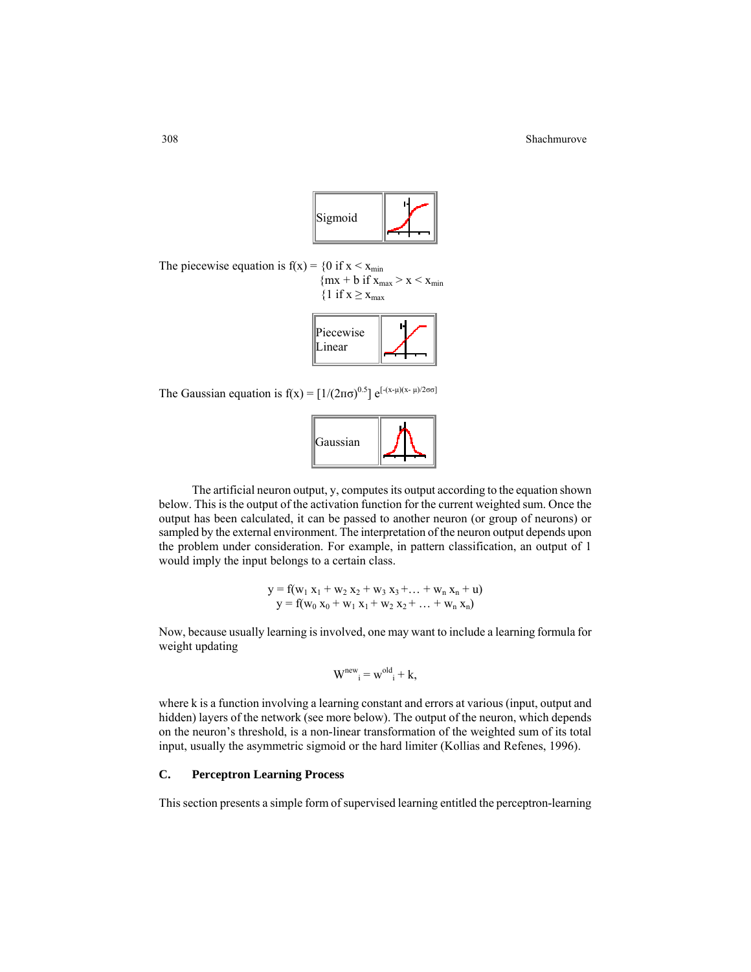

The piecewise equation is  $f(x) = \{0 \text{ if } x \leq x_{\text{min}}\}$ 

 ${mx + b if x<sub>max</sub> > x < x<sub>min</sub>}$  ${1 \text{ if } x \geq x_{max}}$ 



The Gaussian equation is  $f(x) = [1/(2\pi\sigma)^{0.5}] e^{[-(x-\mu)(x-\mu)/2\sigma\sigma]}$ 



The artificial neuron output, y, computes its output according to the equation shown below. This is the output of the activation function for the current weighted sum. Once the output has been calculated, it can be passed to another neuron (or group of neurons) or sampled by the external environment. The interpretation of the neuron output depends upon the problem under consideration. For example, in pattern classification, an output of 1 would imply the input belongs to a certain class.

$$
\begin{array}{l}y=f(w_1\ x_1+w_2\ x_2+w_3\ x_3+...+w_n\ x_n+u)\\y=f(w_0\ x_0+w_1\ x_1+w_2\ x_2+...+w_n\ x_n)\end{array}
$$

Now, because usually learning is involved, one may want to include a learning formula for weight updating

$$
W^{new}_{i} = w^{old}_{i} + k,
$$

where k is a function involving a learning constant and errors at various (input, output and hidden) layers of the network (see more below). The output of the neuron, which depends on the neuron's threshold, is a non-linear transformation of the weighted sum of its total input, usually the asymmetric sigmoid or the hard limiter (Kollias and Refenes, 1996).

### **C. Perceptron Learning Process**

This section presents a simple form of supervised learning entitled the perceptron-learning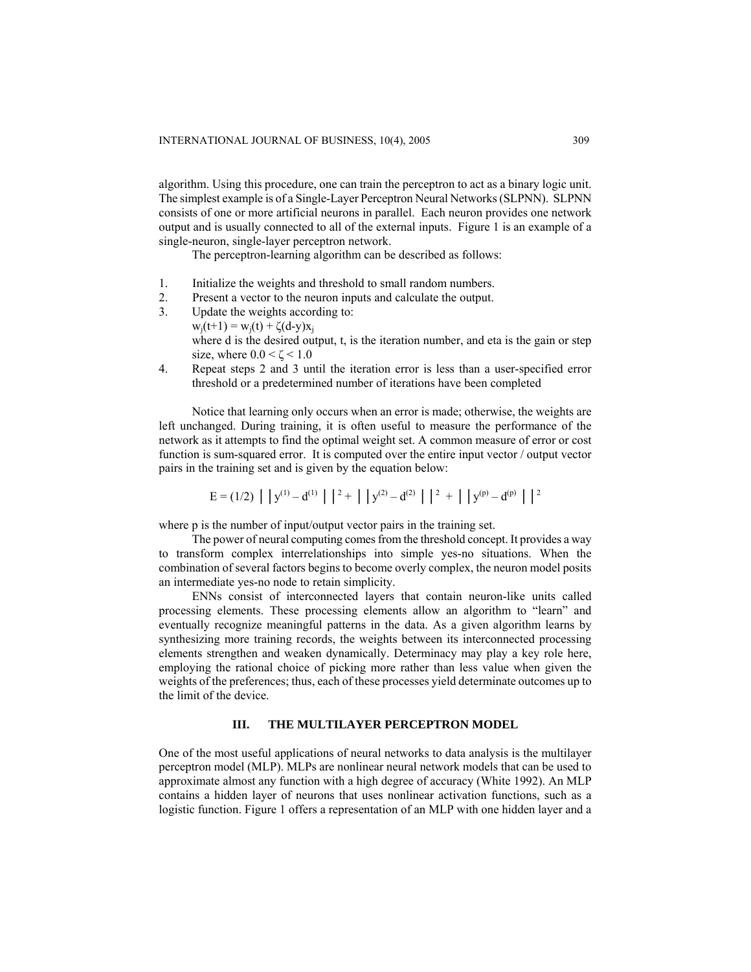algorithm. Using this procedure, one can train the perceptron to act as a binary logic unit. The simplest example is of a Single-Layer Perceptron Neural Networks (SLPNN). SLPNN consists of one or more artificial neurons in parallel. Each neuron provides one network output and is usually connected to all of the external inputs. Figure 1 is an example of a single-neuron, single-layer perceptron network.

The perceptron-learning algorithm can be described as follows:

- 1. Initialize the weights and threshold to small random numbers.
- 2. Present a vector to the neuron inputs and calculate the output.
- 3. Update the weights according to:  $w_i(t+1) = w_i(t) + \zeta(d-y)x_i$ where d is the desired output, t, is the iteration number, and eta is the gain or step size, where  $0.0 < \zeta < 1.0$
- 4. Repeat steps 2 and 3 until the iteration error is less than a user-specified error threshold or a predetermined number of iterations have been completed

Notice that learning only occurs when an error is made; otherwise, the weights are left unchanged. During training, it is often useful to measure the performance of the network as it attempts to find the optimal weight set. A common measure of error or cost function is sum-squared error. It is computed over the entire input vector / output vector pairs in the training set and is given by the equation below:

$$
E = (1/2) | |y^{(1)} - d^{(1)}| |^2 + | |y^{(2)} - d^{(2)}| |^2 + | |y^{(p)} - d^{(p)}| |^2
$$

where p is the number of input/output vector pairs in the training set.

The power of neural computing comes from the threshold concept. It provides a way to transform complex interrelationships into simple yes-no situations. When the combination of several factors begins to become overly complex, the neuron model posits an intermediate yes-no node to retain simplicity.

ENNs consist of interconnected layers that contain neuron-like units called processing elements. These processing elements allow an algorithm to "learn" and eventually recognize meaningful patterns in the data. As a given algorithm learns by synthesizing more training records, the weights between its interconnected processing elements strengthen and weaken dynamically. Determinacy may play a key role here, employing the rational choice of picking more rather than less value when given the weights of the preferences; thus, each of these processes yield determinate outcomes up to the limit of the device.

# **III. THE MULTILAYER PERCEPTRON MODEL**

One of the most useful applications of neural networks to data analysis is the multilayer perceptron model (MLP). MLPs are nonlinear neural network models that can be used to approximate almost any function with a high degree of accuracy (White 1992). An MLP contains a hidden layer of neurons that uses nonlinear activation functions, such as a logistic function. Figure 1 offers a representation of an MLP with one hidden layer and a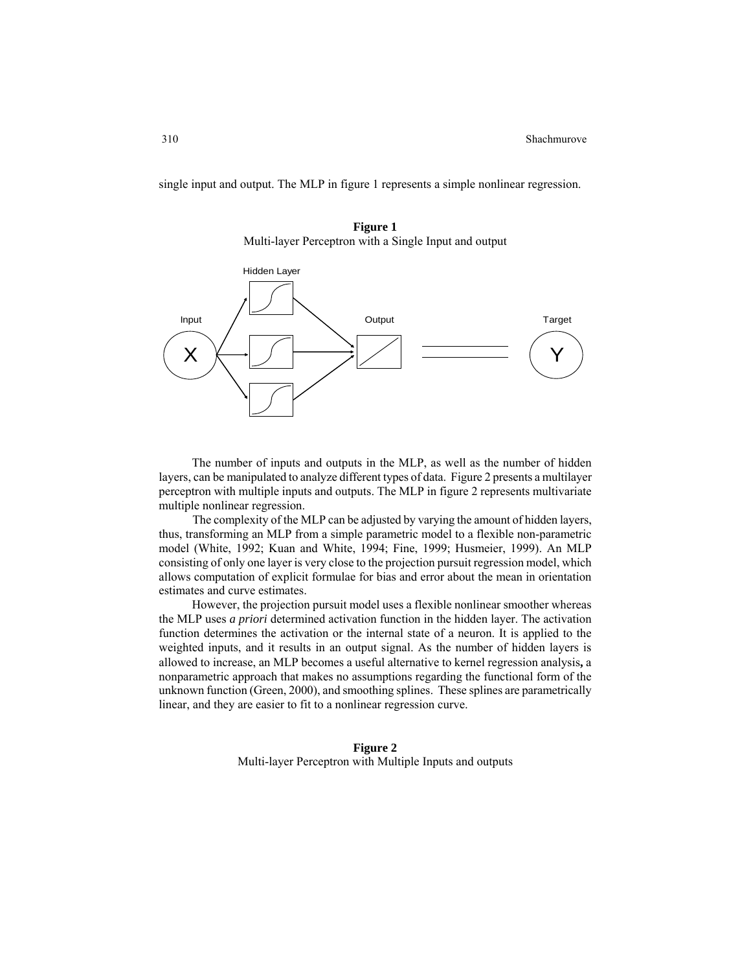single input and output. The MLP in figure 1 represents a simple nonlinear regression.





The number of inputs and outputs in the MLP, as well as the number of hidden layers, can be manipulated to analyze different types of data. Figure 2 presents a multilayer perceptron with multiple inputs and outputs. The MLP in figure 2 represents multivariate multiple nonlinear regression.

The complexity of the MLP can be adjusted by varying the amount of hidden layers, thus, transforming an MLP from a simple parametric model to a flexible non-parametric model (White, 1992; Kuan and White, 1994; Fine, 1999; Husmeier, 1999). An MLP consisting of only one layer is very close to the projection pursuit regression model, which allows computation of explicit formulae for bias and error about the mean in orientation estimates and curve estimates.

However, the projection pursuit model uses a flexible nonlinear smoother whereas the MLP uses *a priori* determined activation function in the hidden layer. The activation function determines the activation or the internal state of a neuron. It is applied to the weighted inputs, and it results in an output signal. As the number of hidden layers is allowed to increase, an MLP becomes a useful alternative to kernel regression analysis**,** a nonparametric approach that makes no assumptions regarding the functional form of the unknown function (Green, 2000), and smoothing splines. These splines are parametrically linear, and they are easier to fit to a nonlinear regression curve.

> **Figure 2**  Multi-layer Perceptron with Multiple Inputs and outputs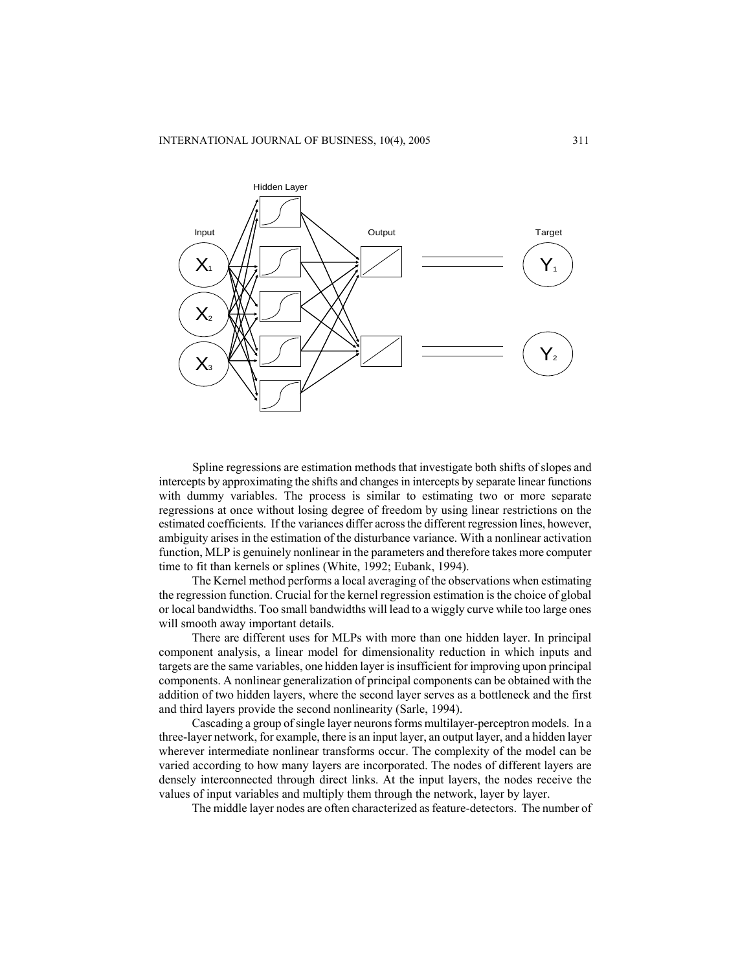

Spline regressions are estimation methods that investigate both shifts of slopes and intercepts by approximating the shifts and changes in intercepts by separate linear functions with dummy variables. The process is similar to estimating two or more separate regressions at once without losing degree of freedom by using linear restrictions on the estimated coefficients. If the variances differ across the different regression lines, however, ambiguity arises in the estimation of the disturbance variance. With a nonlinear activation function, MLP is genuinely nonlinear in the parameters and therefore takes more computer time to fit than kernels or splines (White, 1992; Eubank, 1994).

The Kernel method performs a local averaging of the observations when estimating the regression function. Crucial for the kernel regression estimation is the choice of global or local bandwidths. Too small bandwidths will lead to a wiggly curve while too large ones will smooth away important details.

There are different uses for MLPs with more than one hidden layer. In principal component analysis, a linear model for dimensionality reduction in which inputs and targets are the same variables, one hidden layer is insufficient for improving upon principal components. A nonlinear generalization of principal components can be obtained with the addition of two hidden layers, where the second layer serves as a bottleneck and the first and third layers provide the second nonlinearity (Sarle, 1994).

Cascading a group of single layer neurons forms multilayer-perceptron models. In a three-layer network, for example, there is an input layer, an output layer, and a hidden layer wherever intermediate nonlinear transforms occur. The complexity of the model can be varied according to how many layers are incorporated. The nodes of different layers are densely interconnected through direct links. At the input layers, the nodes receive the values of input variables and multiply them through the network, layer by layer.

The middle layer nodes are often characterized as feature-detectors. The number of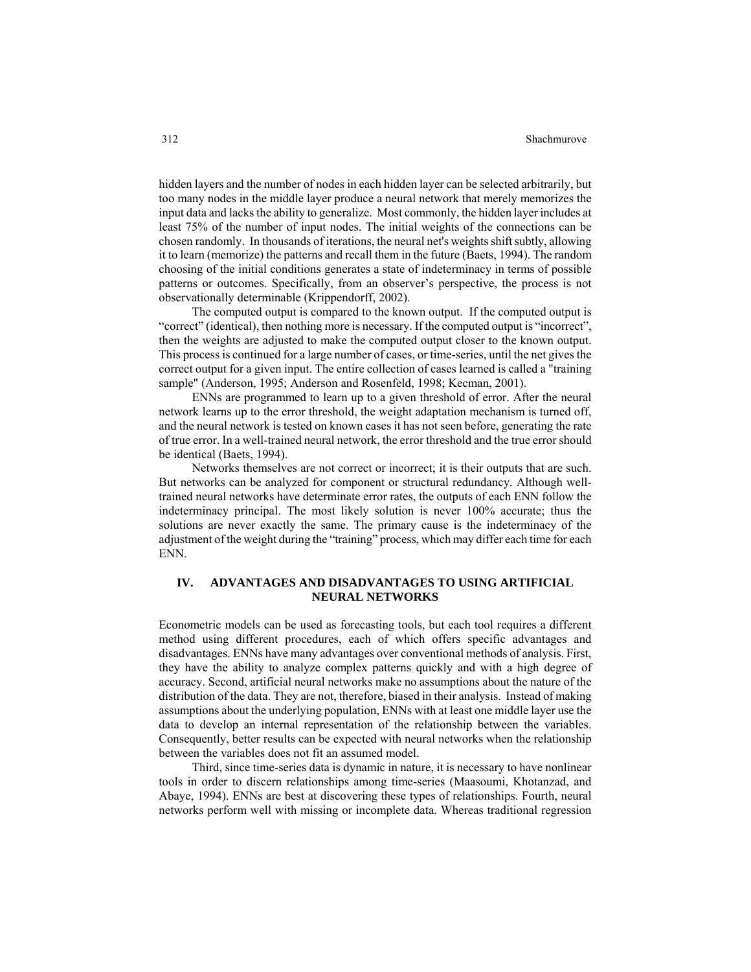#### 312 Shachmurove

hidden layers and the number of nodes in each hidden layer can be selected arbitrarily, but too many nodes in the middle layer produce a neural network that merely memorizes the input data and lacks the ability to generalize. Most commonly, the hidden layer includes at least 75% of the number of input nodes. The initial weights of the connections can be chosen randomly. In thousands of iterations, the neural net's weights shift subtly, allowing it to learn (memorize) the patterns and recall them in the future (Baets, 1994). The random choosing of the initial conditions generates a state of indeterminacy in terms of possible patterns or outcomes. Specifically, from an observer's perspective, the process is not observationally determinable (Krippendorff, 2002).

The computed output is compared to the known output. If the computed output is "correct" (identical), then nothing more is necessary. If the computed output is "incorrect", then the weights are adjusted to make the computed output closer to the known output. This process is continued for a large number of cases, or time-series, until the net gives the correct output for a given input. The entire collection of cases learned is called a "training sample" (Anderson, 1995; Anderson and Rosenfeld, 1998; Kecman, 2001).

ENNs are programmed to learn up to a given threshold of error. After the neural network learns up to the error threshold, the weight adaptation mechanism is turned off, and the neural network is tested on known cases it has not seen before, generating the rate of true error. In a well-trained neural network, the error threshold and the true error should be identical (Baets, 1994).

Networks themselves are not correct or incorrect; it is their outputs that are such. But networks can be analyzed for component or structural redundancy. Although welltrained neural networks have determinate error rates, the outputs of each ENN follow the indeterminacy principal. The most likely solution is never 100% accurate; thus the solutions are never exactly the same. The primary cause is the indeterminacy of the adjustment of the weight during the "training" process, which may differ each time for each ENN.

# **IV. ADVANTAGES AND DISADVANTAGES TO USING ARTIFICIAL NEURAL NETWORKS**

Econometric models can be used as forecasting tools, but each tool requires a different method using different procedures, each of which offers specific advantages and disadvantages. ENNs have many advantages over conventional methods of analysis. First, they have the ability to analyze complex patterns quickly and with a high degree of accuracy. Second, artificial neural networks make no assumptions about the nature of the distribution of the data. They are not, therefore, biased in their analysis. Instead of making assumptions about the underlying population, ENNs with at least one middle layer use the data to develop an internal representation of the relationship between the variables. Consequently, better results can be expected with neural networks when the relationship between the variables does not fit an assumed model.

Third, since time-series data is dynamic in nature, it is necessary to have nonlinear tools in order to discern relationships among time-series (Maasoumi, Khotanzad, and Abaye, 1994). ENNs are best at discovering these types of relationships. Fourth, neural networks perform well with missing or incomplete data. Whereas traditional regression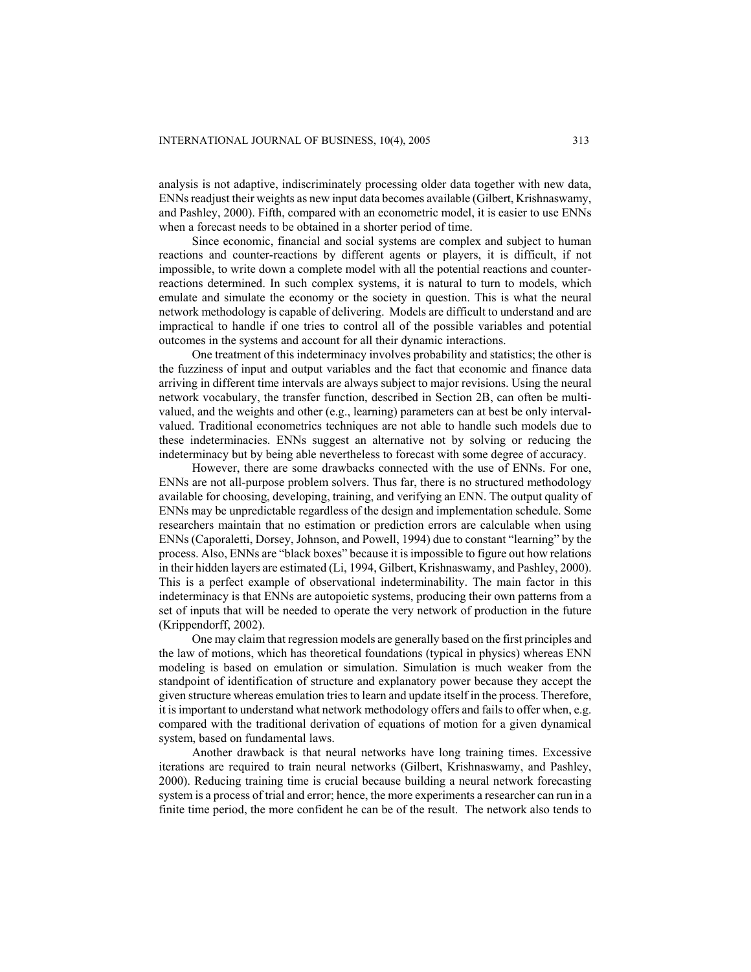analysis is not adaptive, indiscriminately processing older data together with new data, ENNs readjust their weights as new input data becomes available (Gilbert, Krishnaswamy, and Pashley, 2000). Fifth, compared with an econometric model, it is easier to use ENNs when a forecast needs to be obtained in a shorter period of time.

Since economic, financial and social systems are complex and subject to human reactions and counter-reactions by different agents or players, it is difficult, if not impossible, to write down a complete model with all the potential reactions and counterreactions determined. In such complex systems, it is natural to turn to models, which emulate and simulate the economy or the society in question. This is what the neural network methodology is capable of delivering. Models are difficult to understand and are impractical to handle if one tries to control all of the possible variables and potential outcomes in the systems and account for all their dynamic interactions.

One treatment of this indeterminacy involves probability and statistics; the other is the fuzziness of input and output variables and the fact that economic and finance data arriving in different time intervals are always subject to major revisions. Using the neural network vocabulary, the transfer function, described in Section 2B, can often be multivalued, and the weights and other (e.g., learning) parameters can at best be only intervalvalued. Traditional econometrics techniques are not able to handle such models due to these indeterminacies. ENNs suggest an alternative not by solving or reducing the indeterminacy but by being able nevertheless to forecast with some degree of accuracy.

However, there are some drawbacks connected with the use of ENNs. For one, ENNs are not all-purpose problem solvers. Thus far, there is no structured methodology available for choosing, developing, training, and verifying an ENN. The output quality of ENNs may be unpredictable regardless of the design and implementation schedule. Some researchers maintain that no estimation or prediction errors are calculable when using ENNs (Caporaletti, Dorsey, Johnson, and Powell, 1994) due to constant "learning" by the process. Also, ENNs are "black boxes" because it is impossible to figure out how relations in their hidden layers are estimated (Li, 1994, Gilbert, Krishnaswamy, and Pashley, 2000). This is a perfect example of observational indeterminability. The main factor in this indeterminacy is that ENNs are autopoietic systems, producing their own patterns from a set of inputs that will be needed to operate the very network of production in the future (Krippendorff, 2002).

One may claim that regression models are generally based on the first principles and the law of motions, which has theoretical foundations (typical in physics) whereas ENN modeling is based on emulation or simulation. Simulation is much weaker from the standpoint of identification of structure and explanatory power because they accept the given structure whereas emulation tries to learn and update itself in the process. Therefore, it is important to understand what network methodology offers and fails to offer when, e.g. compared with the traditional derivation of equations of motion for a given dynamical system, based on fundamental laws.

Another drawback is that neural networks have long training times. Excessive iterations are required to train neural networks (Gilbert, Krishnaswamy, and Pashley, 2000). Reducing training time is crucial because building a neural network forecasting system is a process of trial and error; hence, the more experiments a researcher can run in a finite time period, the more confident he can be of the result. The network also tends to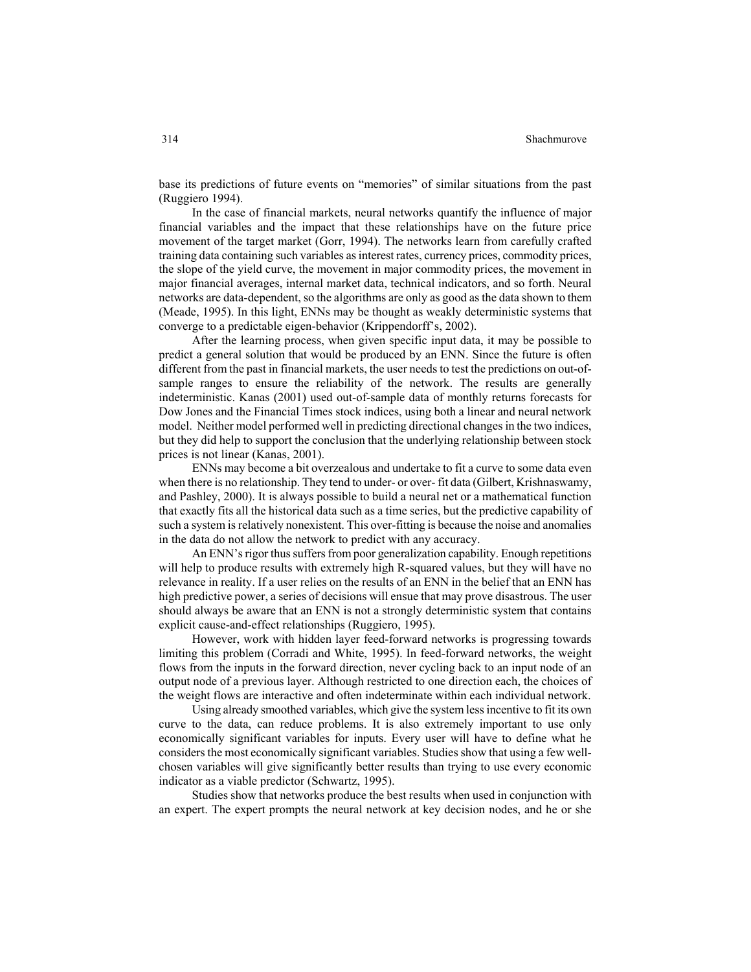#### 314 Shachmurove

base its predictions of future events on "memories" of similar situations from the past (Ruggiero 1994).

In the case of financial markets, neural networks quantify the influence of major financial variables and the impact that these relationships have on the future price movement of the target market (Gorr, 1994). The networks learn from carefully crafted training data containing such variables as interest rates, currency prices, commodity prices, the slope of the yield curve, the movement in major commodity prices, the movement in major financial averages, internal market data, technical indicators, and so forth. Neural networks are data-dependent, so the algorithms are only as good as the data shown to them (Meade, 1995). In this light, ENNs may be thought as weakly deterministic systems that converge to a predictable eigen-behavior (Krippendorff's, 2002).

After the learning process, when given specific input data, it may be possible to predict a general solution that would be produced by an ENN. Since the future is often different from the past in financial markets, the user needs to test the predictions on out-ofsample ranges to ensure the reliability of the network. The results are generally indeterministic. Kanas (2001) used out-of-sample data of monthly returns forecasts for Dow Jones and the Financial Times stock indices, using both a linear and neural network model. Neither model performed well in predicting directional changes in the two indices, but they did help to support the conclusion that the underlying relationship between stock prices is not linear (Kanas, 2001).

ENNs may become a bit overzealous and undertake to fit a curve to some data even when there is no relationship. They tend to under- or over- fit data (Gilbert, Krishnaswamy, and Pashley, 2000). It is always possible to build a neural net or a mathematical function that exactly fits all the historical data such as a time series, but the predictive capability of such a system is relatively nonexistent. This over-fitting is because the noise and anomalies in the data do not allow the network to predict with any accuracy.

An ENN's rigor thus suffers from poor generalization capability. Enough repetitions will help to produce results with extremely high R-squared values, but they will have no relevance in reality. If a user relies on the results of an ENN in the belief that an ENN has high predictive power, a series of decisions will ensue that may prove disastrous. The user should always be aware that an ENN is not a strongly deterministic system that contains explicit cause-and-effect relationships (Ruggiero, 1995).

However, work with hidden layer feed-forward networks is progressing towards limiting this problem (Corradi and White, 1995). In feed-forward networks, the weight flows from the inputs in the forward direction, never cycling back to an input node of an output node of a previous layer. Although restricted to one direction each, the choices of the weight flows are interactive and often indeterminate within each individual network.

Using already smoothed variables, which give the system less incentive to fit its own curve to the data, can reduce problems. It is also extremely important to use only economically significant variables for inputs. Every user will have to define what he considers the most economically significant variables. Studies show that using a few wellchosen variables will give significantly better results than trying to use every economic indicator as a viable predictor (Schwartz, 1995).

Studies show that networks produce the best results when used in conjunction with an expert. The expert prompts the neural network at key decision nodes, and he or she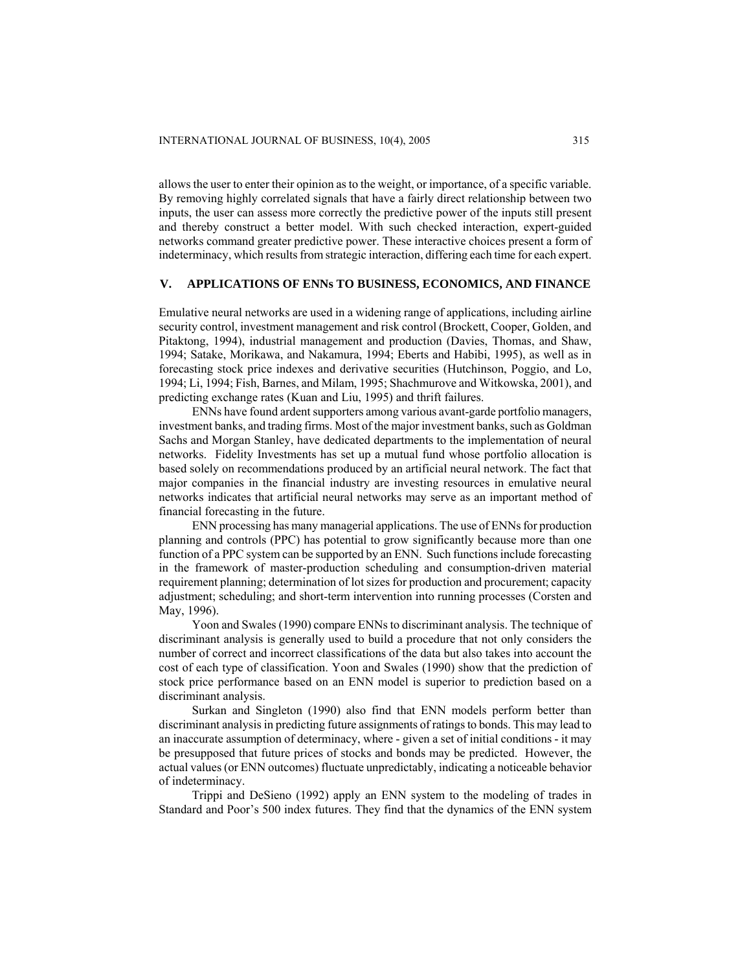allows the user to enter their opinion as to the weight, or importance, of a specific variable. By removing highly correlated signals that have a fairly direct relationship between two inputs, the user can assess more correctly the predictive power of the inputs still present and thereby construct a better model. With such checked interaction, expert-guided networks command greater predictive power. These interactive choices present a form of indeterminacy, which results from strategic interaction, differing each time for each expert.

# **V. APPLICATIONS OF ENNs TO BUSINESS, ECONOMICS, AND FINANCE**

Emulative neural networks are used in a widening range of applications, including airline security control, investment management and risk control (Brockett, Cooper, Golden, and Pitaktong, 1994), industrial management and production (Davies, Thomas, and Shaw, 1994; Satake, Morikawa, and Nakamura, 1994; Eberts and Habibi, 1995), as well as in forecasting stock price indexes and derivative securities (Hutchinson, Poggio, and Lo, 1994; Li, 1994; Fish, Barnes, and Milam, 1995; Shachmurove and Witkowska, 2001), and predicting exchange rates (Kuan and Liu, 1995) and thrift failures.

ENNs have found ardent supporters among various avant-garde portfolio managers, investment banks, and trading firms. Most of the major investment banks, such as Goldman Sachs and Morgan Stanley, have dedicated departments to the implementation of neural networks. Fidelity Investments has set up a mutual fund whose portfolio allocation is based solely on recommendations produced by an artificial neural network. The fact that major companies in the financial industry are investing resources in emulative neural networks indicates that artificial neural networks may serve as an important method of financial forecasting in the future.

ENN processing has many managerial applications. The use of ENNs for production planning and controls (PPC) has potential to grow significantly because more than one function of a PPC system can be supported by an ENN. Such functions include forecasting in the framework of master-production scheduling and consumption-driven material requirement planning; determination of lot sizes for production and procurement; capacity adjustment; scheduling; and short-term intervention into running processes (Corsten and May, 1996).

Yoon and Swales (1990) compare ENNs to discriminant analysis. The technique of discriminant analysis is generally used to build a procedure that not only considers the number of correct and incorrect classifications of the data but also takes into account the cost of each type of classification. Yoon and Swales (1990) show that the prediction of stock price performance based on an ENN model is superior to prediction based on a discriminant analysis.

Surkan and Singleton (1990) also find that ENN models perform better than discriminant analysis in predicting future assignments of ratings to bonds. This may lead to an inaccurate assumption of determinacy, where - given a set of initial conditions - it may be presupposed that future prices of stocks and bonds may be predicted. However, the actual values (or ENN outcomes) fluctuate unpredictably, indicating a noticeable behavior of indeterminacy.

Trippi and DeSieno (1992) apply an ENN system to the modeling of trades in Standard and Poor's 500 index futures. They find that the dynamics of the ENN system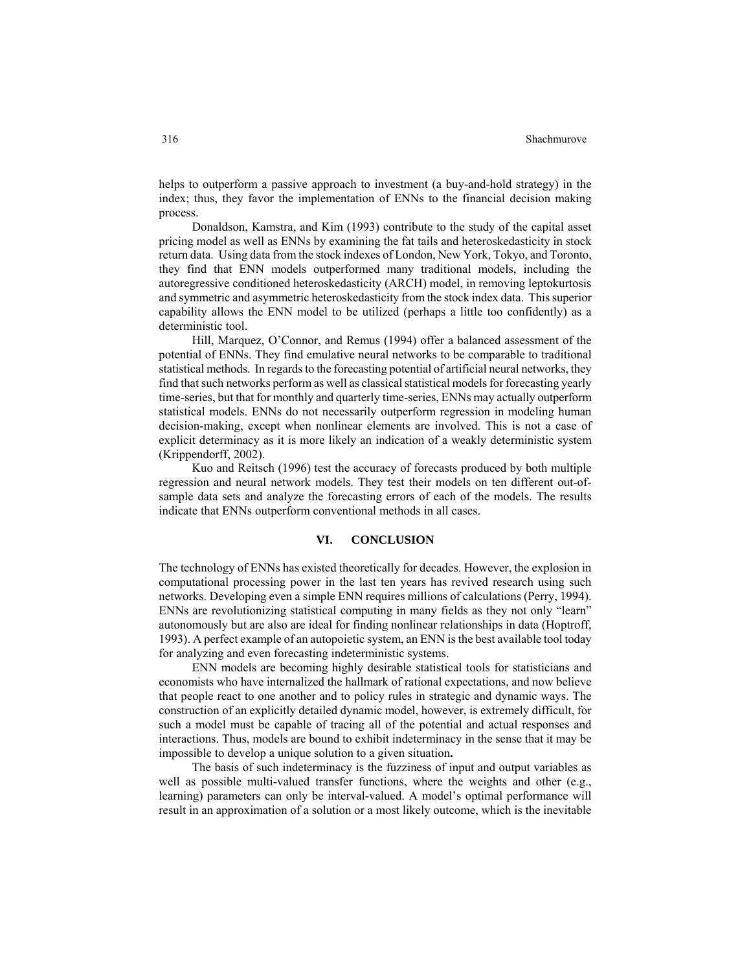helps to outperform a passive approach to investment (a buy-and-hold strategy) in the index; thus, they favor the implementation of ENNs to the financial decision making process.

Donaldson, Kamstra, and Kim (1993) contribute to the study of the capital asset pricing model as well as ENNs by examining the fat tails and heteroskedasticity in stock return data. Using data from the stock indexes of London, New York, Tokyo, and Toronto, they find that ENN models outperformed many traditional models, including the autoregressive conditioned heteroskedasticity (ARCH) model, in removing leptokurtosis and symmetric and asymmetric heteroskedasticity from the stock index data. This superior capability allows the ENN model to be utilized (perhaps a little too confidently) as a deterministic tool.

Hill, Marquez, O'Connor, and Remus (1994) offer a balanced assessment of the potential of ENNs. They find emulative neural networks to be comparable to traditional statistical methods. In regards to the forecasting potential of artificial neural networks, they find that such networks perform as well as classical statistical models for forecasting yearly time-series, but that for monthly and quarterly time-series, ENNs may actually outperform statistical models. ENNs do not necessarily outperform regression in modeling human decision-making, except when nonlinear elements are involved. This is not a case of explicit determinacy as it is more likely an indication of a weakly deterministic system (Krippendorff, 2002).

Kuo and Reitsch (1996) test the accuracy of forecasts produced by both multiple regression and neural network models. They test their models on ten different out-ofsample data sets and analyze the forecasting errors of each of the models. The results indicate that ENNs outperform conventional methods in all cases.

# **VI. CONCLUSION**

The technology of ENNs has existed theoretically for decades. However, the explosion in computational processing power in the last ten years has revived research using such networks. Developing even a simple ENN requires millions of calculations (Perry, 1994). ENNs are revolutionizing statistical computing in many fields as they not only "learn" autonomously but are also are ideal for finding nonlinear relationships in data (Hoptroff, 1993). A perfect example of an autopoietic system, an ENN is the best available tool today for analyzing and even forecasting indeterministic systems.

ENN models are becoming highly desirable statistical tools for statisticians and economists who have internalized the hallmark of rational expectations, and now believe that people react to one another and to policy rules in strategic and dynamic ways. The construction of an explicitly detailed dynamic model, however, is extremely difficult, for such a model must be capable of tracing all of the potential and actual responses and interactions. Thus, models are bound to exhibit indeterminacy in the sense that it may be impossible to develop a unique solution to a given situation**.** 

The basis of such indeterminacy is the fuzziness of input and output variables as well as possible multi-valued transfer functions, where the weights and other (e.g., learning) parameters can only be interval-valued. A model's optimal performance will result in an approximation of a solution or a most likely outcome, which is the inevitable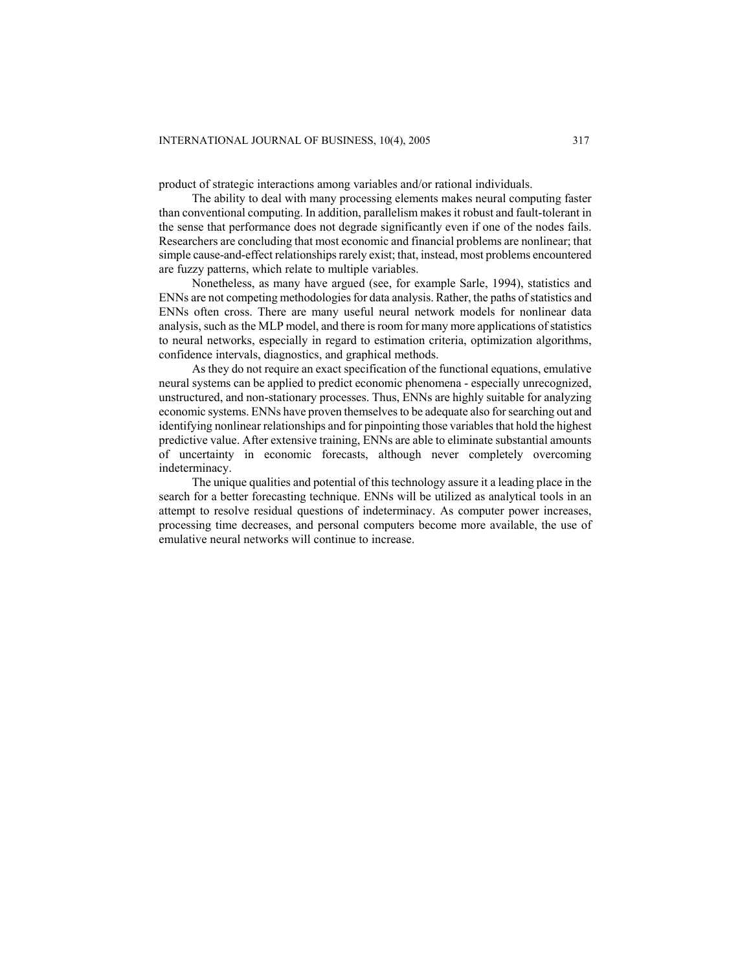product of strategic interactions among variables and/or rational individuals.

The ability to deal with many processing elements makes neural computing faster than conventional computing. In addition, parallelism makes it robust and fault-tolerant in the sense that performance does not degrade significantly even if one of the nodes fails. Researchers are concluding that most economic and financial problems are nonlinear; that simple cause-and-effect relationships rarely exist; that, instead, most problems encountered are fuzzy patterns, which relate to multiple variables.

Nonetheless, as many have argued (see, for example Sarle, 1994), statistics and ENNs are not competing methodologies for data analysis. Rather, the paths of statistics and ENNs often cross. There are many useful neural network models for nonlinear data analysis, such as the MLP model, and there is room for many more applications of statistics to neural networks, especially in regard to estimation criteria, optimization algorithms, confidence intervals, diagnostics, and graphical methods.

As they do not require an exact specification of the functional equations, emulative neural systems can be applied to predict economic phenomena - especially unrecognized, unstructured, and non-stationary processes. Thus, ENNs are highly suitable for analyzing economic systems. ENNs have proven themselves to be adequate also for searching out and identifying nonlinear relationships and for pinpointing those variables that hold the highest predictive value. After extensive training, ENNs are able to eliminate substantial amounts of uncertainty in economic forecasts, although never completely overcoming indeterminacy.

The unique qualities and potential of this technology assure it a leading place in the search for a better forecasting technique. ENNs will be utilized as analytical tools in an attempt to resolve residual questions of indeterminacy. As computer power increases, processing time decreases, and personal computers become more available, the use of emulative neural networks will continue to increase.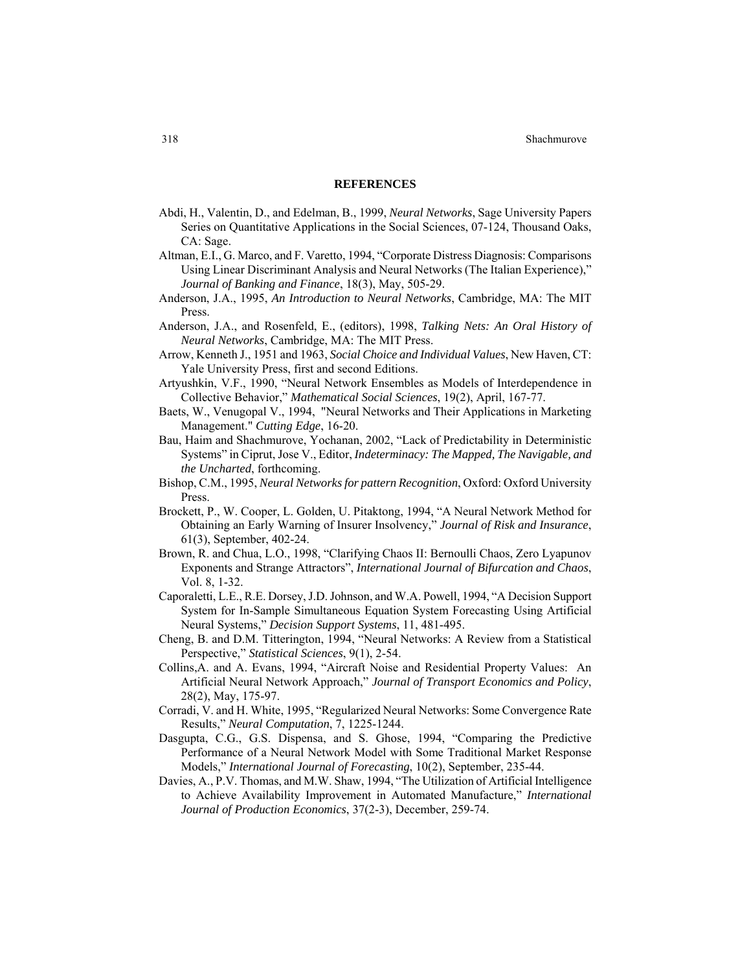#### **REFERENCES**

- Abdi, H., Valentin, D., and Edelman, B., 1999, *Neural Networks*, Sage University Papers Series on Quantitative Applications in the Social Sciences, 07-124, Thousand Oaks, CA: Sage.
- Altman, E.I., G. Marco, and F. Varetto, 1994, "Corporate Distress Diagnosis: Comparisons Using Linear Discriminant Analysis and Neural Networks (The Italian Experience)," *Journal of Banking and Finance*, 18(3), May, 505-29.
- Anderson, J.A., 1995, *An Introduction to Neural Networks*, Cambridge, MA: The MIT Press.
- Anderson, J.A., and Rosenfeld, E., (editors), 1998, *Talking Nets: An Oral History of Neural Networks*, Cambridge, MA: The MIT Press.
- Arrow, Kenneth J., 1951 and 1963, *Social Choice and Individual Values*, New Haven, CT: Yale University Press, first and second Editions.
- Artyushkin, V.F., 1990, "Neural Network Ensembles as Models of Interdependence in Collective Behavior," *Mathematical Social Sciences*, 19(2), April, 167-77.
- Baets, W., Venugopal V., 1994, "Neural Networks and Their Applications in Marketing Management." *Cutting Edge*, 16-20.
- Bau, Haim and Shachmurove, Yochanan, 2002, "Lack of Predictability in Deterministic Systems" in Ciprut, Jose V., Editor, *Indeterminacy: The Mapped, The Navigable, and the Uncharted*, forthcoming.
- Bishop, C.M., 1995, *Neural Networks for pattern Recognition*, Oxford: Oxford University Press.
- Brockett, P., W. Cooper, L. Golden, U. Pitaktong, 1994, "A Neural Network Method for Obtaining an Early Warning of Insurer Insolvency," *Journal of Risk and Insurance*, 61(3), September, 402-24.
- Brown, R. and Chua, L.O., 1998, "Clarifying Chaos II: Bernoulli Chaos, Zero Lyapunov Exponents and Strange Attractors", *International Journal of Bifurcation and Chaos*, Vol. 8, 1-32.
- Caporaletti, L.E., R.E. Dorsey, J.D. Johnson, and W.A. Powell, 1994, "A Decision Support System for In-Sample Simultaneous Equation System Forecasting Using Artificial Neural Systems," *Decision Support Systems*, 11, 481-495.
- Cheng, B. and D.M. Titterington, 1994, "Neural Networks: A Review from a Statistical Perspective," *Statistical Sciences*, 9(1), 2-54.
- Collins,A. and A. Evans, 1994, "Aircraft Noise and Residential Property Values: An Artificial Neural Network Approach," *Journal of Transport Economics and Policy*, 28(2), May, 175-97.
- Corradi, V. and H. White, 1995, "Regularized Neural Networks: Some Convergence Rate Results," *Neural Computation*, 7, 1225-1244.
- Dasgupta, C.G., G.S. Dispensa, and S. Ghose, 1994, "Comparing the Predictive Performance of a Neural Network Model with Some Traditional Market Response Models," *International Journal of Forecasting*, 10(2), September, 235-44.
- Davies, A., P.V. Thomas, and M.W. Shaw, 1994, "The Utilization of Artificial Intelligence to Achieve Availability Improvement in Automated Manufacture," *International Journal of Production Economics*, 37(2-3), December, 259-74.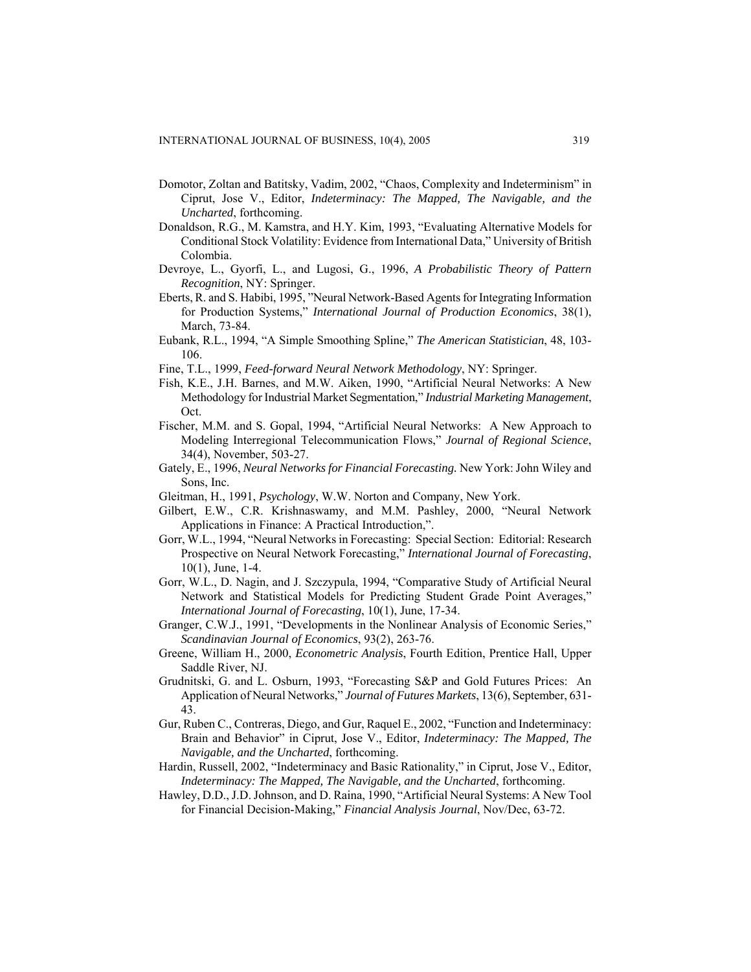- Domotor, Zoltan and Batitsky, Vadim, 2002, "Chaos, Complexity and Indeterminism" in Ciprut, Jose V., Editor, *Indeterminacy: The Mapped, The Navigable, and the Uncharted*, forthcoming.
- Donaldson, R.G., M. Kamstra, and H.Y. Kim, 1993, "Evaluating Alternative Models for Conditional Stock Volatility: Evidence from International Data," University of British Colombia.
- Devroye, L., Gyorfi, L., and Lugosi, G., 1996, *A Probabilistic Theory of Pattern Recognition*, NY: Springer.
- Eberts, R. and S. Habibi, 1995, "Neural Network-Based Agents for Integrating Information for Production Systems," *International Journal of Production Economics*, 38(1), March, 73-84.
- Eubank, R.L., 1994, "A Simple Smoothing Spline," *The American Statistician*, 48, 103- 106.
- Fine, T.L., 1999, *Feed-forward Neural Network Methodology*, NY: Springer.
- Fish, K.E., J.H. Barnes, and M.W. Aiken, 1990, "Artificial Neural Networks: A New Methodology for Industrial Market Segmentation," *Industrial Marketing Management*, Oct.
- Fischer, M.M. and S. Gopal, 1994, "Artificial Neural Networks: A New Approach to Modeling Interregional Telecommunication Flows," *Journal of Regional Science*, 34(4), November, 503-27.
- Gately, E., 1996, *Neural Networks for Financial Forecasting.* New York: John Wiley and Sons, Inc.
- Gleitman, H., 1991, *Psychology*, W.W. Norton and Company, New York.
- Gilbert, E.W., C.R. Krishnaswamy, and M.M. Pashley, 2000, "Neural Network Applications in Finance: A Practical Introduction,".
- Gorr, W.L., 1994, "Neural Networks in Forecasting: Special Section: Editorial: Research Prospective on Neural Network Forecasting," *International Journal of Forecasting*, 10(1), June, 1-4.
- Gorr, W.L., D. Nagin, and J. Szczypula, 1994, "Comparative Study of Artificial Neural Network and Statistical Models for Predicting Student Grade Point Averages," *International Journal of Forecasting*, 10(1), June, 17-34.
- Granger, C.W.J., 1991, "Developments in the Nonlinear Analysis of Economic Series," *Scandinavian Journal of Economics*, 93(2), 263-76.
- Greene, William H., 2000, *Econometric Analysis*, Fourth Edition, Prentice Hall, Upper Saddle River, NJ.
- Grudnitski, G. and L. Osburn, 1993, "Forecasting S&P and Gold Futures Prices: An Application of Neural Networks," *Journal of Futures Markets*, 13(6), September, 631- 43.
- Gur, Ruben C., Contreras, Diego, and Gur, Raquel E., 2002, "Function and Indeterminacy: Brain and Behavior" in Ciprut, Jose V., Editor, *Indeterminacy: The Mapped, The Navigable, and the Uncharted*, forthcoming.
- Hardin, Russell, 2002, "Indeterminacy and Basic Rationality," in Ciprut, Jose V., Editor, *Indeterminacy: The Mapped, The Navigable, and the Uncharted*, forthcoming.
- Hawley, D.D., J.D. Johnson, and D. Raina, 1990, "Artificial Neural Systems: A New Tool for Financial Decision-Making," *Financial Analysis Journal*, Nov/Dec, 63-72.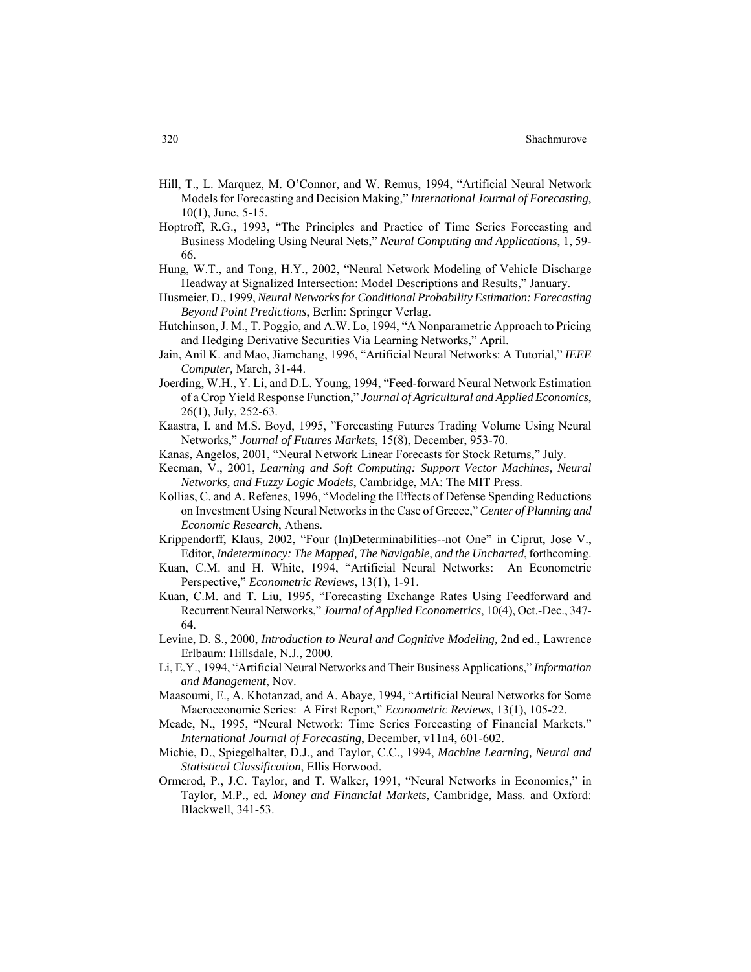- Hill, T., L. Marquez, M. O'Connor, and W. Remus, 1994, "Artificial Neural Network Models for Forecasting and Decision Making," *International Journal of Forecasting*, 10(1), June, 5-15.
- Hoptroff, R.G., 1993, "The Principles and Practice of Time Series Forecasting and Business Modeling Using Neural Nets," *Neural Computing and Applications*, 1, 59- 66.
- Hung, W.T., and Tong, H.Y., 2002, "Neural Network Modeling of Vehicle Discharge Headway at Signalized Intersection: Model Descriptions and Results," January.
- Husmeier, D., 1999, *Neural Networks for Conditional Probability Estimation: Forecasting Beyond Point Predictions*, Berlin: Springer Verlag.
- Hutchinson, J. M., T. Poggio, and A.W. Lo, 1994, "A Nonparametric Approach to Pricing and Hedging Derivative Securities Via Learning Networks," April.
- Jain, Anil K. and Mao, Jiamchang, 1996, "Artificial Neural Networks: A Tutorial," *IEEE Computer,* March, 31-44.
- Joerding, W.H., Y. Li, and D.L. Young, 1994, "Feed-forward Neural Network Estimation of a Crop Yield Response Function," *Journal of Agricultural and Applied Economics*, 26(1), July, 252-63.
- Kaastra, I. and M.S. Boyd, 1995, "Forecasting Futures Trading Volume Using Neural Networks," *Journal of Futures Markets*, 15(8), December, 953-70.
- Kanas, Angelos, 2001, "Neural Network Linear Forecasts for Stock Returns," July.
- Kecman, V., 2001, *Learning and Soft Computing: Support Vector Machines, Neural Networks, and Fuzzy Logic Models*, Cambridge, MA: The MIT Press.
- Kollias, C. and A. Refenes, 1996, "Modeling the Effects of Defense Spending Reductions on Investment Using Neural Networks in the Case of Greece," *Center of Planning and Economic Research*, Athens.
- Krippendorff, Klaus, 2002, "Four (In)Determinabilities--not One" in Ciprut, Jose V., Editor, *Indeterminacy: The Mapped, The Navigable, and the Uncharted*, forthcoming.
- Kuan, C.M. and H. White, 1994, "Artificial Neural Networks: An Econometric Perspective," *Econometric Reviews*, 13(1), 1-91.
- Kuan, C.M. and T. Liu, 1995, "Forecasting Exchange Rates Using Feedforward and Recurrent Neural Networks," *Journal of Applied Econometrics*, 10(4), Oct.-Dec., 347- 64.
- Levine, D. S., 2000, *Introduction to Neural and Cognitive Modeling,* 2nd ed., Lawrence Erlbaum: Hillsdale, N.J., 2000.
- Li, E.Y., 1994, "Artificial Neural Networks and Their Business Applications," *Information and Management*, Nov.
- Maasoumi, E., A. Khotanzad, and A. Abaye, 1994, "Artificial Neural Networks for Some Macroeconomic Series: A First Report," *Econometric Reviews*, 13(1), 105-22.
- Meade, N., 1995, "Neural Network: Time Series Forecasting of Financial Markets." *International Journal of Forecasting*, December, v11n4, 601-602.
- Michie, D., Spiegelhalter, D.J., and Taylor, C.C., 1994, *Machine Learning, Neural and Statistical Classification*, Ellis Horwood.
- Ormerod, P., J.C. Taylor, and T. Walker, 1991, "Neural Networks in Economics," in Taylor, M.P., ed*. Money and Financial Markets*, Cambridge, Mass. and Oxford: Blackwell, 341-53.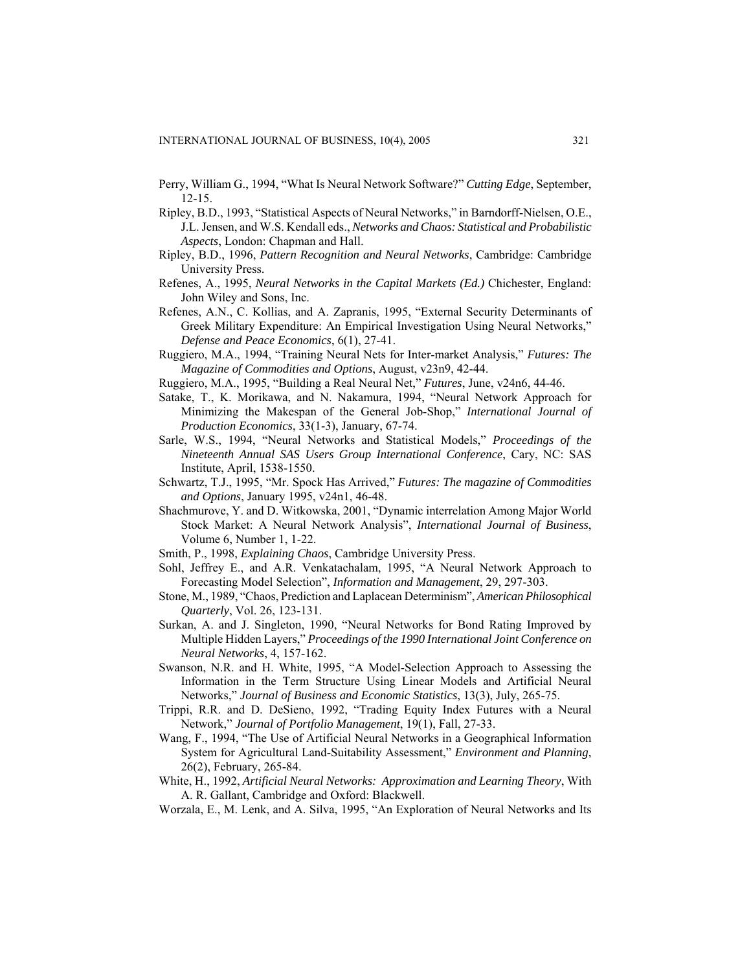- Perry, William G., 1994, "What Is Neural Network Software?" *Cutting Edge*, September, 12-15.
- Ripley, B.D., 1993, "Statistical Aspects of Neural Networks," in Barndorff-Nielsen, O.E., J.L. Jensen, and W.S. Kendall eds., *Networks and Chaos: Statistical and Probabilistic Aspects*, London: Chapman and Hall.
- Ripley, B.D., 1996, *Pattern Recognition and Neural Networks*, Cambridge: Cambridge University Press.
- Refenes, A., 1995, *Neural Networks in the Capital Markets (Ed.)* Chichester, England: John Wiley and Sons, Inc.
- Refenes, A.N., C. Kollias, and A. Zapranis, 1995, "External Security Determinants of Greek Military Expenditure: An Empirical Investigation Using Neural Networks," *Defense and Peace Economics*, 6(1), 27-41.
- Ruggiero, M.A., 1994, "Training Neural Nets for Inter-market Analysis," *Futures: The Magazine of Commodities and Options*, August, v23n9, 42-44.
- Ruggiero, M.A., 1995, "Building a Real Neural Net," *Futures*, June, v24n6, 44-46.
- Satake, T., K. Morikawa, and N. Nakamura, 1994, "Neural Network Approach for Minimizing the Makespan of the General Job-Shop," *International Journal of Production Economics*, 33(1-3), January, 67-74.
- Sarle, W.S., 1994, "Neural Networks and Statistical Models," *Proceedings of the Nineteenth Annual SAS Users Group International Conference*, Cary, NC: SAS Institute, April, 1538-1550.
- Schwartz, T.J., 1995, "Mr. Spock Has Arrived," *Futures: The magazine of Commodities and Options*, January 1995, v24n1, 46-48.
- Shachmurove, Y. and D. Witkowska, 2001, "Dynamic interrelation Among Major World Stock Market: A Neural Network Analysis", *International Journal of Business*, Volume 6, Number 1, 1-22.
- Smith, P., 1998, *Explaining Chaos*, Cambridge University Press.
- Sohl, Jeffrey E., and A.R. Venkatachalam, 1995, "A Neural Network Approach to Forecasting Model Selection", *Information and Management*, 29, 297-303.
- Stone, M., 1989, "Chaos, Prediction and Laplacean Determinism", *American Philosophical Quarterly*, Vol. 26, 123-131.
- Surkan, A. and J. Singleton, 1990, "Neural Networks for Bond Rating Improved by Multiple Hidden Layers," *Proceedings of the 1990 International Joint Conference on Neural Networks*, 4, 157-162.
- Swanson, N.R. and H. White, 1995, "A Model-Selection Approach to Assessing the Information in the Term Structure Using Linear Models and Artificial Neural Networks," *Journal of Business and Economic Statistics*, 13(3), July, 265-75.
- Trippi, R.R. and D. DeSieno, 1992, "Trading Equity Index Futures with a Neural Network," *Journal of Portfolio Management*, 19(1), Fall, 27-33.
- Wang, F., 1994, "The Use of Artificial Neural Networks in a Geographical Information System for Agricultural Land-Suitability Assessment," *Environment and Planning*, 26(2), February, 265-84.
- White, H., 1992, *Artificial Neural Networks: Approximation and Learning Theory*, With A. R. Gallant, Cambridge and Oxford: Blackwell.
- Worzala, E., M. Lenk, and A. Silva, 1995, "An Exploration of Neural Networks and Its